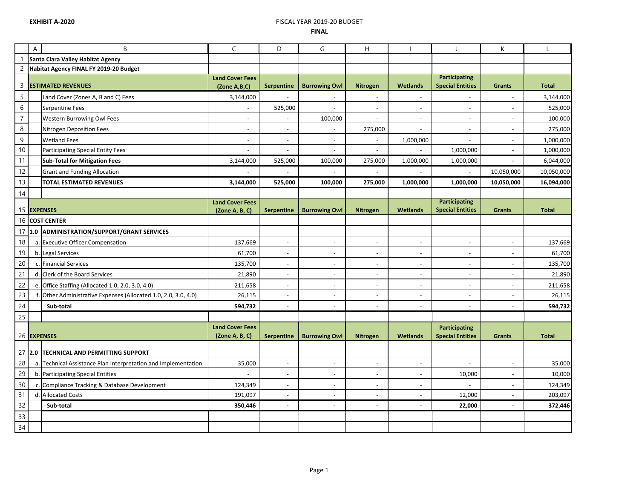## **EXHIBIT A-2020** FISCAL YEAR 2019-20 BUDGET **FINAL**

|                | $\boldsymbol{\mathsf{A}}$         | B                                                              | $\mathsf C$                            | D                        | G                        | H                        |                          | $\mathsf{J}$                                    | К                        | L            |
|----------------|-----------------------------------|----------------------------------------------------------------|----------------------------------------|--------------------------|--------------------------|--------------------------|--------------------------|-------------------------------------------------|--------------------------|--------------|
|                | Santa Clara Valley Habitat Agency |                                                                |                                        |                          |                          |                          |                          |                                                 |                          |              |
| $\overline{c}$ |                                   | Habitat Agency FINAL FY 2019-20 Budget                         |                                        |                          |                          |                          |                          |                                                 |                          |              |
| 3              |                                   | <b>ESTIMATED REVENUES</b>                                      | <b>Land Cover Fees</b><br>(Zone A,B,C) | <b>Serpentine</b>        | <b>Burrowing Owl</b>     | <b>Nitrogen</b>          | <b>Wetlands</b>          | <b>Participating</b><br><b>Special Entities</b> | <b>Grants</b>            | <b>Total</b> |
| $\sqrt{5}$     |                                   | Land Cover (Zones A, B and C) Fees                             | 3,144,000                              | $\blacksquare$           |                          | $\blacksquare$           | $\omega$                 | $\overline{\phantom{a}}$                        | $\overline{\phantom{a}}$ | 3,144,000    |
| 6              |                                   | Serpentine Fees                                                | $\blacksquare$                         | 525,000                  | $\sim$                   | $\blacksquare$           | $\sim$                   | $\overline{\phantom{a}}$                        | $\overline{\phantom{a}}$ | 525,000      |
| $\overline{7}$ |                                   | Western Burrowing Owl Fees                                     | $\overline{\phantom{a}}$               |                          | 100,000                  | $\overline{\phantom{a}}$ | $\overline{a}$           | $\overline{a}$                                  |                          | 100,000      |
| 8              |                                   | Nitrogen Deposition Fees                                       | $\overline{\phantom{a}}$               | $\sim$                   |                          | 275,000                  | $\omega$                 | $\overline{\phantom{a}}$                        |                          | 275,000      |
| $\mathsf 9$    |                                   | <b>Wetland Fees</b>                                            | $\overline{\phantom{a}}$               | $\overline{\phantom{a}}$ |                          |                          | 1,000,000                | $\overline{\phantom{a}}$                        |                          | 1,000,000    |
| 10             |                                   | <b>Participating Special Entity Fees</b>                       |                                        |                          |                          | $\overline{\phantom{a}}$ |                          | 1,000,000                                       |                          | 1,000,000    |
| 11             |                                   | <b>Sub-Total for Mitigation Fees</b>                           | 3,144,000                              | 525,000                  | 100,000                  | 275,000                  | 1,000,000                | 1,000,000                                       |                          | 6,044,000    |
| 12             |                                   | <b>Grant and Funding Allocation</b>                            |                                        |                          |                          |                          |                          |                                                 | 10,050,000               | 10,050,000   |
| 13             |                                   | TOTAL ESTIMATED REVENUES                                       | 3,144,000                              | 525,000                  | 100,000                  | 275,000                  | 1,000,000                | 1,000,000                                       | 10,050,000               | 16,094,000   |
| 14             |                                   |                                                                |                                        |                          |                          |                          |                          |                                                 |                          |              |
|                |                                   |                                                                | <b>Land Cover Fees</b>                 |                          |                          |                          |                          | <b>Participating</b>                            |                          |              |
|                |                                   | 15 EXPENSES                                                    | (Zone A, B, C)                         | <b>Serpentine</b>        | <b>Burrowing Owl</b>     | <b>Nitrogen</b>          | <b>Wetlands</b>          | <b>Special Entities</b>                         | <b>Grants</b>            | <b>Total</b> |
|                |                                   | 16 COST CENTER                                                 |                                        |                          |                          |                          |                          |                                                 |                          |              |
| 17             | 11.0                              | <b>ADMINISTRATION/SUPPORT/GRANT SERVICES</b>                   |                                        |                          |                          |                          |                          |                                                 |                          |              |
| 18             |                                   | a. Executive Officer Compensation                              | 137,669                                | $\blacksquare$           | $\blacksquare$           | $\overline{\phantom{a}}$ | $\overline{\phantom{a}}$ | $\overline{\phantom{a}}$                        | $\overline{\phantom{a}}$ | 137,669      |
| 19             |                                   | b. Legal Services                                              | 61,700                                 | $\overline{\phantom{a}}$ |                          | $\overline{\phantom{a}}$ | $\sim$                   | $\blacksquare$                                  | $\blacksquare$           | 61,700       |
| 20             |                                   | c. Financial Services                                          | 135,700                                | $\overline{\phantom{a}}$ | $\overline{\phantom{a}}$ | $\overline{\phantom{a}}$ | $\overline{\phantom{a}}$ | $\sim$                                          | $\overline{\phantom{a}}$ | 135,700      |
| 21             |                                   | d. Clerk of the Board Services                                 | 21,890                                 | $\overline{\phantom{a}}$ | $\overline{\phantom{a}}$ | $\overline{\phantom{a}}$ | $\overline{\phantom{a}}$ | $\overline{\phantom{a}}$                        | $\overline{\phantom{a}}$ | 21,890       |
| 22             |                                   | e. Office Staffing (Allocated 1.0, 2.0, 3.0, 4.0)              | 211,658                                | $\sim$                   | $\sim$                   | $\blacksquare$           | $\sim$                   | $\overline{\phantom{a}}$                        | $\overline{\phantom{a}}$ | 211,658      |
| 23             |                                   | Other Administrative Expenses (Allocated 1.0, 2.0, 3.0, 4.0)   | 26,115                                 |                          |                          | $\overline{\phantom{a}}$ | $\overline{\phantom{a}}$ | $\overline{\phantom{a}}$                        | $\overline{\phantom{a}}$ | 26,115       |
| 24             |                                   | Sub-total                                                      | 594,732                                |                          |                          | $\overline{a}$           | $\sim$                   |                                                 | $\overline{a}$           | 594,732      |
| 25             |                                   |                                                                |                                        |                          |                          |                          |                          |                                                 |                          |              |
|                |                                   |                                                                | <b>Land Cover Fees</b>                 |                          |                          |                          |                          | <b>Participating</b>                            |                          |              |
|                |                                   | 26 EXPENSES                                                    | (Zone A, B, C)                         | Serpentine               | <b>Burrowing Owl</b>     | Nitrogen                 | Wetlands                 | <b>Special Entities</b>                         | <b>Grants</b>            | <b>Total</b> |
|                | $27$ 2.0                          | <b>TECHNICAL AND PERMITTING SUPPORT</b>                        |                                        |                          |                          |                          |                          |                                                 |                          |              |
| 28             |                                   | a. Technical Assistance Plan Interpretation and Implementation | 35,000                                 | $\sim$                   | $\overline{\phantom{a}}$ | $\blacksquare$           | $\overline{\phantom{a}}$ | $\sim$                                          | $\sim$                   | 35,000       |
| 29             |                                   | b. Participating Special Entities                              |                                        | $\overline{\phantom{a}}$ | $\overline{\phantom{a}}$ | $\blacksquare$           | $\sim$                   | 10,000                                          | $\blacksquare$           | 10,000       |
| 30             |                                   | c. Compliance Tracking & Database Development                  | 124,349                                |                          |                          | $\overline{a}$           | $\overline{a}$           |                                                 |                          | 124,349      |
| 31             |                                   | d. Allocated Costs                                             | 191,097                                |                          |                          |                          |                          | 12,000                                          | ÷,                       | 203,097      |
| 32             |                                   | Sub-total                                                      | 350,446                                | $\sim$                   | $\sim$                   | Ĭ.                       | $\sim$                   | 22,000                                          | ÷,                       | 372,446      |
| 33             |                                   |                                                                |                                        |                          |                          |                          |                          |                                                 |                          |              |
| 34             |                                   |                                                                |                                        |                          |                          |                          |                          |                                                 |                          |              |